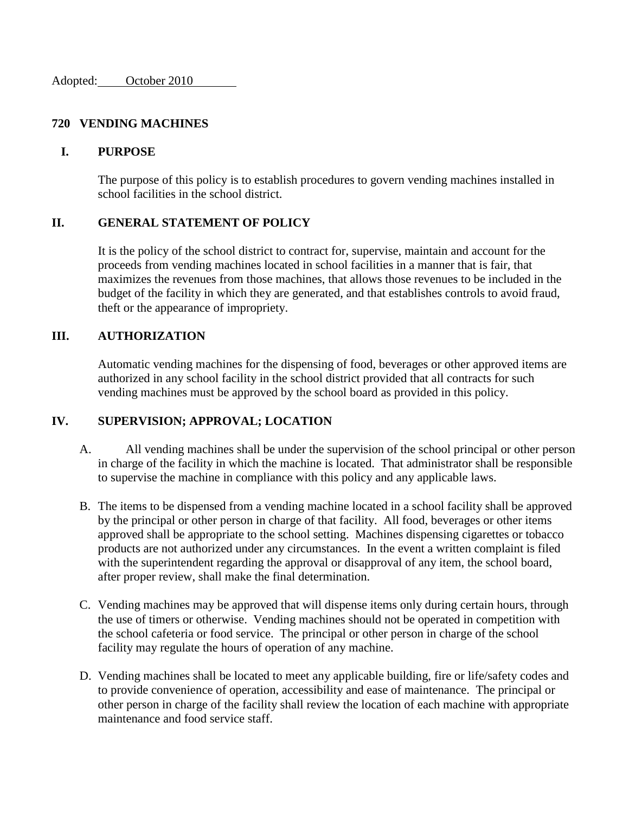#### **720 VENDING MACHINES**

#### **I. PURPOSE**

The purpose of this policy is to establish procedures to govern vending machines installed in school facilities in the school district.

## **II. GENERAL STATEMENT OF POLICY**

It is the policy of the school district to contract for, supervise, maintain and account for the proceeds from vending machines located in school facilities in a manner that is fair, that maximizes the revenues from those machines, that allows those revenues to be included in the budget of the facility in which they are generated, and that establishes controls to avoid fraud, theft or the appearance of impropriety.

### **III. AUTHORIZATION**

Automatic vending machines for the dispensing of food, beverages or other approved items are authorized in any school facility in the school district provided that all contracts for such vending machines must be approved by the school board as provided in this policy.

### **IV. SUPERVISION; APPROVAL; LOCATION**

- A. All vending machines shall be under the supervision of the school principal or other person in charge of the facility in which the machine is located. That administrator shall be responsible to supervise the machine in compliance with this policy and any applicable laws.
- B. The items to be dispensed from a vending machine located in a school facility shall be approved by the principal or other person in charge of that facility. All food, beverages or other items approved shall be appropriate to the school setting. Machines dispensing cigarettes or tobacco products are not authorized under any circumstances. In the event a written complaint is filed with the superintendent regarding the approval or disapproval of any item, the school board, after proper review, shall make the final determination.
- C. Vending machines may be approved that will dispense items only during certain hours, through the use of timers or otherwise. Vending machines should not be operated in competition with the school cafeteria or food service. The principal or other person in charge of the school facility may regulate the hours of operation of any machine.
- D. Vending machines shall be located to meet any applicable building, fire or life/safety codes and to provide convenience of operation, accessibility and ease of maintenance. The principal or other person in charge of the facility shall review the location of each machine with appropriate maintenance and food service staff.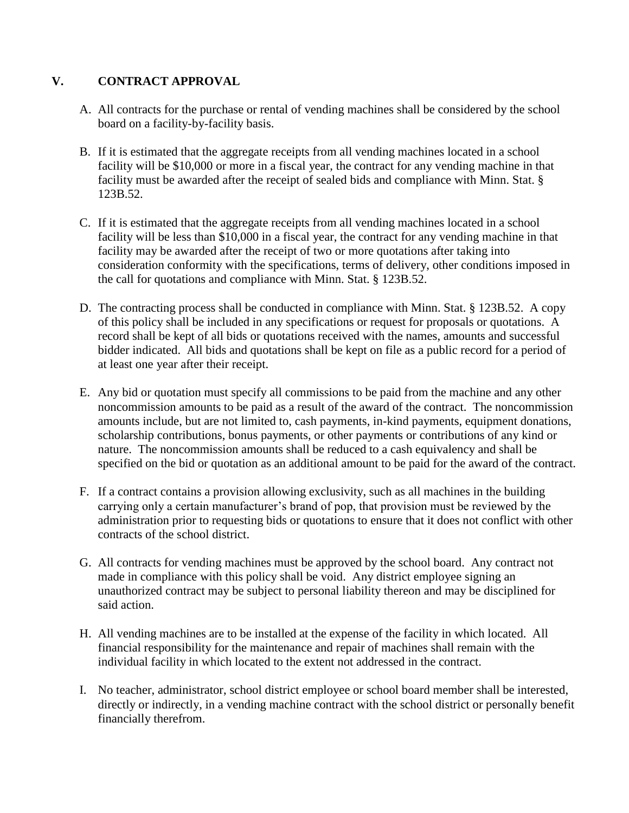# **V. CONTRACT APPROVAL**

- A. All contracts for the purchase or rental of vending machines shall be considered by the school board on a facility-by-facility basis.
- B. If it is estimated that the aggregate receipts from all vending machines located in a school facility will be \$10,000 or more in a fiscal year, the contract for any vending machine in that facility must be awarded after the receipt of sealed bids and compliance with Minn. Stat. § 123B.52.
- C. If it is estimated that the aggregate receipts from all vending machines located in a school facility will be less than \$10,000 in a fiscal year, the contract for any vending machine in that facility may be awarded after the receipt of two or more quotations after taking into consideration conformity with the specifications, terms of delivery, other conditions imposed in the call for quotations and compliance with Minn. Stat. § 123B.52.
- D. The contracting process shall be conducted in compliance with Minn. Stat. § 123B.52. A copy of this policy shall be included in any specifications or request for proposals or quotations. A record shall be kept of all bids or quotations received with the names, amounts and successful bidder indicated. All bids and quotations shall be kept on file as a public record for a period of at least one year after their receipt.
- E. Any bid or quotation must specify all commissions to be paid from the machine and any other noncommission amounts to be paid as a result of the award of the contract. The noncommission amounts include, but are not limited to, cash payments, in-kind payments, equipment donations, scholarship contributions, bonus payments, or other payments or contributions of any kind or nature. The noncommission amounts shall be reduced to a cash equivalency and shall be specified on the bid or quotation as an additional amount to be paid for the award of the contract.
- F. If a contract contains a provision allowing exclusivity, such as all machines in the building carrying only a certain manufacturer's brand of pop, that provision must be reviewed by the administration prior to requesting bids or quotations to ensure that it does not conflict with other contracts of the school district.
- G. All contracts for vending machines must be approved by the school board. Any contract not made in compliance with this policy shall be void. Any district employee signing an unauthorized contract may be subject to personal liability thereon and may be disciplined for said action.
- H. All vending machines are to be installed at the expense of the facility in which located. All financial responsibility for the maintenance and repair of machines shall remain with the individual facility in which located to the extent not addressed in the contract.
- I. No teacher, administrator, school district employee or school board member shall be interested, directly or indirectly, in a vending machine contract with the school district or personally benefit financially therefrom.